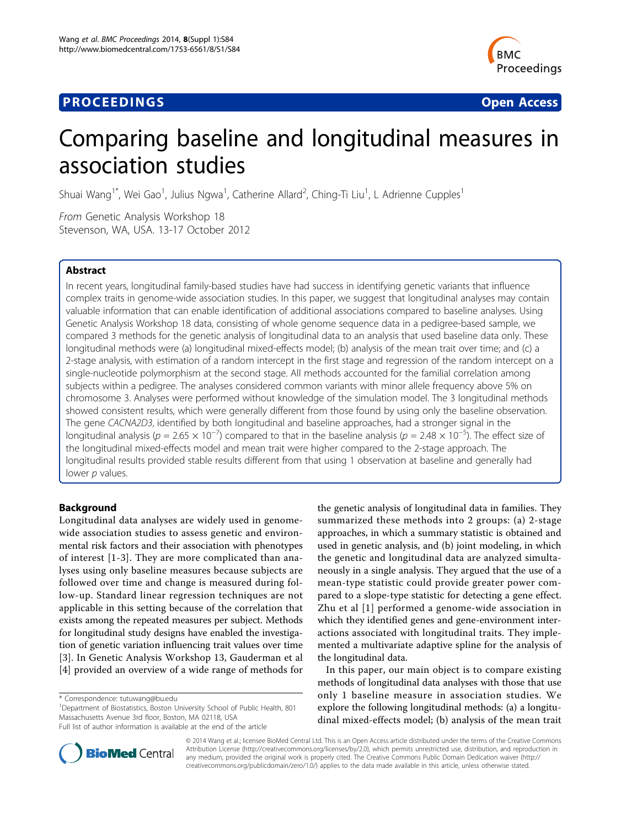## **PROCEEDINGS STATE ACCESS CONSUMING SECTION CONSUMING SECTION CONSUMING SECTION CONSUMING SECTION CONSUMING SECTION CONSUMING SECTION CONSUMING SECTION CONSUMING SECTION CONSUMING SECTION CONSUMING SECTION CONSUMING SE**



# Comparing baseline and longitudinal measures in association studies

Shuai Wang<sup>1\*</sup>, Wei Gao<sup>1</sup>, Julius Ngwa<sup>1</sup>, Catherine Allard<sup>2</sup>, Ching-Ti Liu<sup>1</sup>, L Adrienne Cupples<sup>1</sup>

From Genetic Analysis Workshop 18 Stevenson, WA, USA. 13-17 October 2012

## Abstract

In recent years, longitudinal family-based studies have had success in identifying genetic variants that influence complex traits in genome-wide association studies. In this paper, we suggest that longitudinal analyses may contain valuable information that can enable identification of additional associations compared to baseline analyses. Using Genetic Analysis Workshop 18 data, consisting of whole genome sequence data in a pedigree-based sample, we compared 3 methods for the genetic analysis of longitudinal data to an analysis that used baseline data only. These longitudinal methods were (a) longitudinal mixed-effects model; (b) analysis of the mean trait over time; and (c) a 2-stage analysis, with estimation of a random intercept in the first stage and regression of the random intercept on a single-nucleotide polymorphism at the second stage. All methods accounted for the familial correlation among subjects within a pedigree. The analyses considered common variants with minor allele frequency above 5% on chromosome 3. Analyses were performed without knowledge of the simulation model. The 3 longitudinal methods showed consistent results, which were generally different from those found by using only the baseline observation. The gene CACNA2D3, identified by both longitudinal and baseline approaches, had a stronger signal in the longitudinal analysis (p = 2.65 × 10<sup>-7</sup>) compared to that in the baseline analysis (p = 2.48 × 10<sup>-5</sup>). The effect size of the longitudinal mixed-effects model and mean trait were higher compared to the 2-stage approach. The longitudinal results provided stable results different from that using 1 observation at baseline and generally had lower p values.

## Background

Longitudinal data analyses are widely used in genomewide association studies to assess genetic and environmental risk factors and their association with phenotypes of interest [[1-3\]](#page-6-0). They are more complicated than analyses using only baseline measures because subjects are followed over time and change is measured during follow-up. Standard linear regression techniques are not applicable in this setting because of the correlation that exists among the repeated measures per subject. Methods for longitudinal study designs have enabled the investigation of genetic variation influencing trait values over time [[3](#page-6-0)]. In Genetic Analysis Workshop 13, Gauderman et al [[4\]](#page-6-0) provided an overview of a wide range of methods for

<sup>1</sup>Department of Biostatistics, Boston University School of Public Health, 801 Massachusetts Avenue 3rd floor, Boston, MA 02118, USA

the genetic analysis of longitudinal data in families. They summarized these methods into 2 groups: (a) 2-stage approaches, in which a summary statistic is obtained and used in genetic analysis, and (b) joint modeling, in which the genetic and longitudinal data are analyzed simultaneously in a single analysis. They argued that the use of a mean-type statistic could provide greater power compared to a slope-type statistic for detecting a gene effect. Zhu et al [[1\]](#page-6-0) performed a genome-wide association in which they identified genes and gene-environment interactions associated with longitudinal traits. They implemented a multivariate adaptive spline for the analysis of the longitudinal data.

In this paper, our main object is to compare existing methods of longitudinal data analyses with those that use only 1 baseline measure in association studies. We explore the following longitudinal methods: (a) a longitudinal mixed-effects model; (b) analysis of the mean trait



© 2014 Wang et al.; licensee BioMed Central Ltd. This is an Open Access article distributed under the terms of the Creative Commons Attribution License [\(http://creativecommons.org/licenses/by/2.0](http://creativecommons.org/licenses/by/2.0)), which permits unrestricted use, distribution, and reproduction in any medium, provided the original work is properly cited. The Creative Commons Public Domain Dedication waiver [\(http://](http://creativecommons.org/publicdomain/zero/1.0/) [creativecommons.org/publicdomain/zero/1.0/](http://creativecommons.org/publicdomain/zero/1.0/)) applies to the data made available in this article, unless otherwise stated.

<sup>\*</sup> Correspondence: [tutuwang@bu.edu](mailto:tutuwang@bu.edu)

Full list of author information is available at the end of the article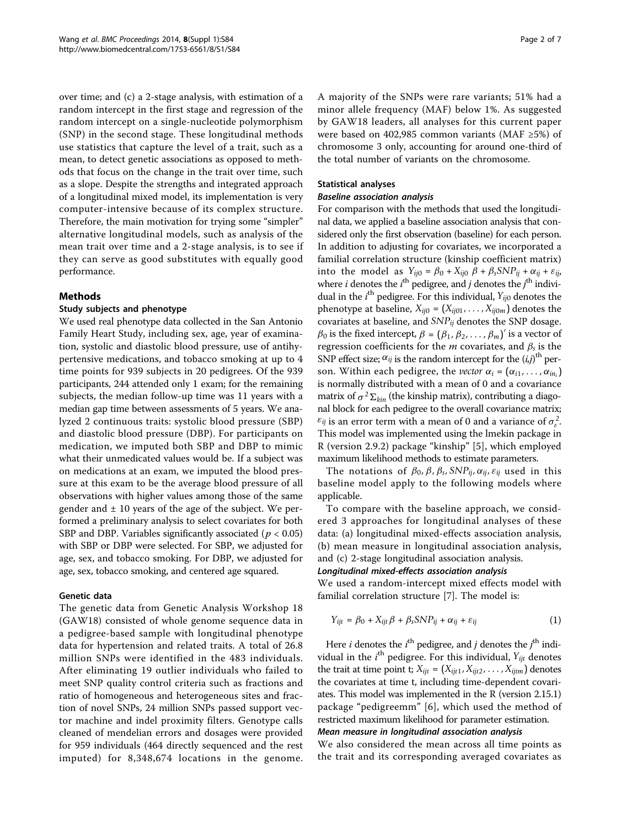over time; and (c) a 2-stage analysis, with estimation of a random intercept in the first stage and regression of the random intercept on a single-nucleotide polymorphism (SNP) in the second stage. These longitudinal methods use statistics that capture the level of a trait, such as a mean, to detect genetic associations as opposed to methods that focus on the change in the trait over time, such as a slope. Despite the strengths and integrated approach of a longitudinal mixed model, its implementation is very computer-intensive because of its complex structure. Therefore, the main motivation for trying some "simpler" alternative longitudinal models, such as analysis of the mean trait over time and a 2-stage analysis, is to see if they can serve as good substitutes with equally good performance.

## Methods

## Study subjects and phenotype

We used real phenotype data collected in the San Antonio Family Heart Study, including sex, age, year of examination, systolic and diastolic blood pressure, use of antihypertensive medications, and tobacco smoking at up to 4 time points for 939 subjects in 20 pedigrees. Of the 939 participants, 244 attended only 1 exam; for the remaining subjects, the median follow-up time was 11 years with a median gap time between assessments of 5 years. We analyzed 2 continuous traits: systolic blood pressure (SBP) and diastolic blood pressure (DBP). For participants on medication, we imputed both SBP and DBP to mimic what their unmedicated values would be. If a subject was on medications at an exam, we imputed the blood pressure at this exam to be the average blood pressure of all observations with higher values among those of the same gender and  $\pm$  10 years of the age of the subject. We performed a preliminary analysis to select covariates for both SBP and DBP. Variables significantly associated ( $p < 0.05$ ) with SBP or DBP were selected. For SBP, we adjusted for age, sex, and tobacco smoking. For DBP, we adjusted for age, sex, tobacco smoking, and centered age squared.

#### Genetic data

The genetic data from Genetic Analysis Workshop 18 (GAW18) consisted of whole genome sequence data in a pedigree-based sample with longitudinal phenotype data for hypertension and related traits. A total of 26.8 million SNPs were identified in the 483 individuals. After eliminating 19 outlier individuals who failed to meet SNP quality control criteria such as fractions and ratio of homogeneous and heterogeneous sites and fraction of novel SNPs, 24 million SNPs passed support vector machine and indel proximity filters. Genotype calls cleaned of mendelian errors and dosages were provided for 959 individuals (464 directly sequenced and the rest imputed) for 8,348,674 locations in the genome.

A majority of the SNPs were rare variants; 51% had a minor allele frequency (MAF) below 1%. As suggested by GAW18 leaders, all analyses for this current paper were based on 402,985 common variants (MAF ≥5%) of chromosome 3 only, accounting for around one-third of the total number of variants on the chromosome.

## Statistical analyses

#### Baseline association analysis

For comparison with the methods that used the longitudinal data, we applied a baseline association analysis that considered only the first observation (baseline) for each person. In addition to adjusting for covariates, we incorporated a familial correlation structure (kinship coefficient matrix) into the model as  $Y_{ij0} = \beta_0 + X_{ij0} \beta + \beta_s S N P_{ij} + \alpha_{ij} + \varepsilon_{ij}$ , where *i* denotes the  $i^{\text{th}}$  pedigree, and *j* denotes the  $j^{\text{th}}$  individual in the  $i^{\text{th}}$  pedigree. For this individual,  $Y_{ij0}$  denotes the phenotype at baseline,  $X_{ij0} = (X_{ij01}, \ldots, X_{ij0m})$  denotes the covariates at baseline, and *SNPij* denotes the SNP dosage.  $\beta_0$  is the fixed intercept,  $\beta = (\beta_1, \beta_2, \dots, \beta_m)'$  is a vector of regression coefficients for the m covariates, and β*<sup>s</sup>* is the SNP effect size;  $\alpha_{ij}$  is the random intercept for the  $(i,j)$ <sup>th</sup> person. Within each pedigree, the *vector*  $\alpha_i = (\alpha_{i1}, \dots, \alpha_{in_i})$ is normally distributed with a mean of 0 and a covariance matrix of  $\sigma^2 \Sigma_{kin}$  (the kinship matrix), contributing a diagonal block for each pedigree to the overall covariance matrix;  $\varepsilon_{ij}$  is an error term with a mean of 0 and a variance of  $\sigma_{\varepsilon}^2$ . This model was implemented using the lmekin package in R (version 2.9.2) package "kinship" [[5\]](#page-6-0), which employed maximum likelihood methods to estimate parameters.

The notations of  $\beta_0$ ,  $\beta$ ,  $\beta_s$ ,  $SNP_{ii}$ ,  $\alpha_{ii}$ ,  $\varepsilon_{ii}$  used in this baseline model apply to the following models where applicable.

To compare with the baseline approach, we considered 3 approaches for longitudinal analyses of these data: (a) longitudinal mixed-effects association analysis, (b) mean measure in longitudinal association analysis, and (c) 2-stage longitudinal association analysis.

#### Longitudinal mixed-effects association analysis

We used a random-intercept mixed effects model with familial correlation structure [\[7](#page-6-0)]. The model is:

$$
Y_{ijt} = \beta_0 + X_{ijt}\beta + \beta_s SNP_{ij} + \alpha_{ij} + \varepsilon_{ij}
$$
 (1)

Here *i* denotes the  $i^{\text{th}}$  pedigree, and *j* denotes the  $j^{\text{th}}$  individual in the  $i^{\text{th}}$  pedigree. For this individual,  $Y_{ijt}$  denotes the trait at time point t;  $X_{ijt} = (X_{ijt1}, X_{ijt2}, \dots, X_{ijtm})$  denotes the covariates at time t, including time-dependent covariates. This model was implemented in the R (version 2.15.1) package "pedigreemm" [[6\]](#page-6-0), which used the method of restricted maximum likelihood for parameter estimation.

## Mean measure in longitudinal association analysis

We also considered the mean across all time points as the trait and its corresponding averaged covariates as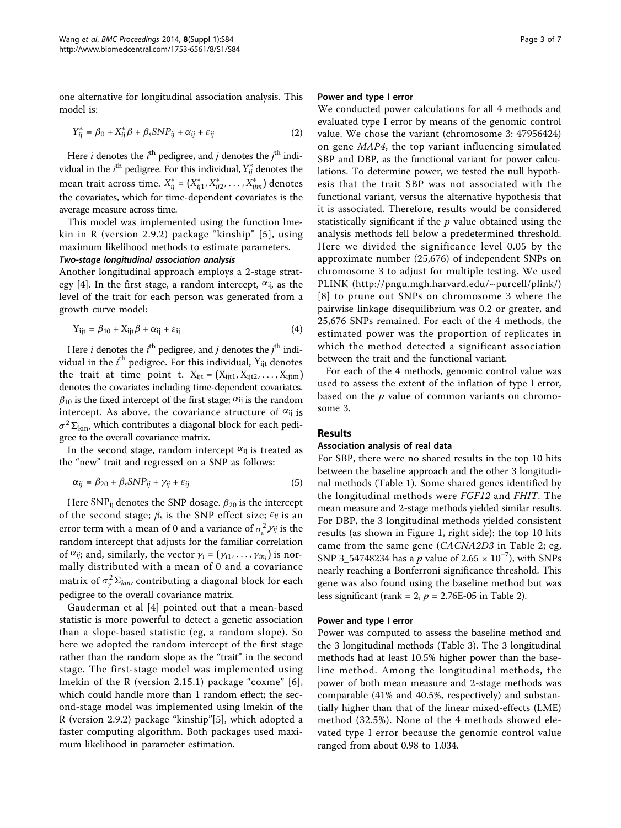one alternative for longitudinal association analysis. This model is:

$$
Y_{ij}^* = \beta_0 + X_{ij}^* \beta + \beta_s SNP_{ij} + \alpha_{ij} + \varepsilon_{ij}
$$
 (2)

Here *i* denotes the  $i^{\text{th}}$  pedigree, and *j* denotes the  $j^{\text{th}}$  individual in the  $i^{\text{th}}$  pedigree. For this individual,  $Y^*_{ij}$  denotes the mean trait across time. *X*<sup>∗</sup> *ij* = (*X*<sup>∗</sup> *ij*1, *X*<sup>∗</sup> *ij*2, ... , *X*<sup>∗</sup> *ijm*) denotes the covariates, which for time-dependent covariates is the average measure across time.

This model was implemented using the function lmekin in R (version 2.9.2) package "kinship" [[5](#page-6-0)], using maximum likelihood methods to estimate parameters.

## Two-stage longitudinal association analysis

Another longitudinal approach employs a 2-stage strat-egy [[4\]](#page-6-0). In the first stage, a random intercept,  $\alpha_{ij}$  as the level of the trait for each person was generated from a growth curve model:

$$
Y_{ijt} = \beta_{10} + X_{ijt}\beta + \alpha_{ij} + \varepsilon_{ij}
$$
 (4)

Here *i* denotes the  $i^{\text{th}}$  pedigree, and *j* denotes the  $j^{\text{th}}$  individual in the  $i^{\text{th}}$  pedigree. For this individual,  ${\rm Y}_{\text{ijt}}$  denotes the trait at time point t.  $X_{ijt} = (X_{ijt1}, X_{ijt2}, \dots, X_{ijtm})$ denotes the covariates including time-dependent covariates.  $\beta_{10}$  is the fixed intercept of the first stage;  $\alpha_{ij}$  is the random intercept. As above, the covariance structure of  $\alpha_{ij}$  is  $\sigma^2 \Sigma_{\text{kin}}$ , which contributes a diagonal block for each pedigree to the overall covariance matrix.

In the second stage, random intercept  $\alpha_{ij}$  is treated as the "new" trait and regressed on a SNP as follows:

$$
\alpha_{ij} = \beta_{20} + \beta_s SNP_{ij} + \gamma_{ij} + \varepsilon_{ij}
$$
 (5)

Here  $\text{SNP}_{ij}$  denotes the SNP dosage.  $\beta_{20}$  is the intercept of the second stage;  $\beta_s$  is the SNP effect size;  $\varepsilon_{ij}$  is an error term with a mean of 0 and a variance of  $\sigma_{\varepsilon}^2$   $\gamma_{ij}$  is the random intercept that adjusts for the familiar correlation of  $\alpha_{ij}$ ; and, similarly, the vector  $\gamma_i = (\gamma_{i1}, \dots, \gamma_{in_i})$  is normally distributed with a mean of 0 and a covariance matrix of  $\sigma^2_\gamma \Sigma_{kin}$ , contributing a diagonal block for each pedigree to the overall covariance matrix.

Gauderman et al [[4\]](#page-6-0) pointed out that a mean-based statistic is more powerful to detect a genetic association than a slope-based statistic (eg, a random slope). So here we adopted the random intercept of the first stage rather than the random slope as the "trait" in the second stage. The first-stage model was implemented using lmekin of the R (version 2.15.1) package "coxme" [[6\]](#page-6-0), which could handle more than 1 random effect; the second-stage model was implemented using lmekin of the R (version 2.9.2) package "kinship"[[5](#page-6-0)], which adopted a faster computing algorithm. Both packages used maximum likelihood in parameter estimation.

#### Power and type I error

We conducted power calculations for all 4 methods and evaluated type I error by means of the genomic control value. We chose the variant (chromosome 3: 47956424) on gene MAP4, the top variant influencing simulated SBP and DBP, as the functional variant for power calculations. To determine power, we tested the null hypothesis that the trait SBP was not associated with the functional variant, versus the alternative hypothesis that it is associated. Therefore, results would be considered statistically significant if the  $p$  value obtained using the analysis methods fell below a predetermined threshold. Here we divided the significance level 0.05 by the approximate number (25,676) of independent SNPs on chromosome 3 to adjust for multiple testing. We used PLINK ([http://pngu.mgh.harvard.edu/~purcell/plink/](http://pngu.mgh.harvard.edu/~purcell/plink)) [[8\]](#page-6-0) to prune out SNPs on chromosome 3 where the pairwise linkage disequilibrium was 0.2 or greater, and 25,676 SNPs remained. For each of the 4 methods, the estimated power was the proportion of replicates in which the method detected a significant association between the trait and the functional variant.

For each of the 4 methods, genomic control value was used to assess the extent of the inflation of type I error, based on the  $p$  value of common variants on chromosome 3.

## Results

## Association analysis of real data

For SBP, there were no shared results in the top 10 hits between the baseline approach and the other 3 longitudinal methods (Table [1\)](#page-3-0). Some shared genes identified by the longitudinal methods were FGF12 and FHIT. The mean measure and 2-stage methods yielded similar results. For DBP, the 3 longitudinal methods yielded consistent results (as shown in Figure [1,](#page-4-0) right side): the top 10 hits came from the same gene (CACNA2D3 in Table [2](#page-5-0); eg, SNP 3\_54748234 has a p value of 2.65  $\times$  10<sup>-7</sup>), with SNPs nearly reaching a Bonferroni significance threshold. This gene was also found using the baseline method but was less significant (rank = [2](#page-5-0),  $p = 2.76E-05$  in Table 2).

## Power and type I error

Power was computed to assess the baseline method and the 3 longitudinal methods (Table [3\)](#page-6-0). The 3 longitudinal methods had at least 10.5% higher power than the baseline method. Among the longitudinal methods, the power of both mean measure and 2-stage methods was comparable (41% and 40.5%, respectively) and substantially higher than that of the linear mixed-effects (LME) method (32.5%). None of the 4 methods showed elevated type I error because the genomic control value ranged from about 0.98 to 1.034.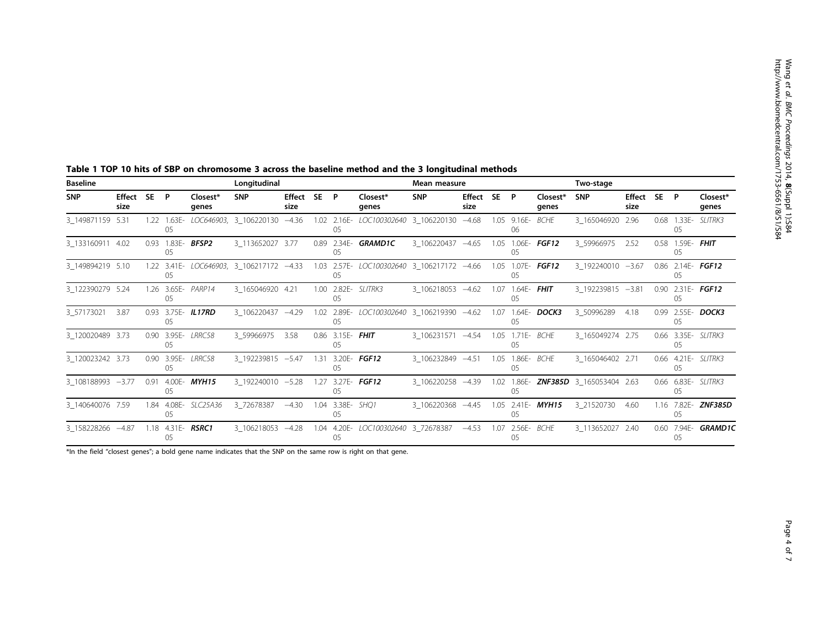| <b>Baseline</b>   |                |                   |                   |                          | Longitudinal                             |                     |      |                        |                                                | Mean measure      |                |      |                        |                          | Two-stage                                   |                |      |                               |                     |
|-------------------|----------------|-------------------|-------------------|--------------------------|------------------------------------------|---------------------|------|------------------------|------------------------------------------------|-------------------|----------------|------|------------------------|--------------------------|---------------------------------------------|----------------|------|-------------------------------|---------------------|
| <b>SNP</b>        | Effect<br>size | <b>SE</b>         | P                 | Closest*<br>genes        | <b>SNP</b>                               | Effect SE P<br>size |      |                        | Closest*<br>genes                              | <b>SNP</b>        | Effect<br>size | SE P |                        | Closest*<br>genes        | <b>SNP</b>                                  | Effect<br>size | SE P |                               | Closest*<br>genes   |
| 3 149871159 5.31  |                | 1.22              | $1.63E -$<br>05   |                          | LOC646903, 3 106220130                   | $-4.36$             |      | 1.02 2.16E-<br>05      | LOC100302640 3_106220130                       |                   | $-4.68$        | 1.05 | $9.16E -$<br>06        | <b>BCHE</b>              | 3_165046920 2.96                            |                | 0.68 | $1.33E -$<br>0 <sub>5</sub>   | SLITRK3             |
| 3 133160911 4.02  |                |                   | 0.93 1.83E-<br>05 | BFSP2                    | 3 113652027 3.77                         |                     |      | 0.89 2.34E-<br>05      | <b>GRAMD1C</b>                                 | 3_106220437 -4.65 |                | 1.05 | 1.06E-<br>05           | FGF12                    | 3 59966975                                  | 2.52           |      | 0.58 1.59E- <b>FHIT</b><br>05 |                     |
| 3 149894219 5.10  |                |                   | 0 <sub>5</sub>    |                          | 1.22 3.41E- LOC646903, 3 106217172 -4.33 |                     |      | 05                     | 1.03 2.57E- LOC100302640 3_106217172 -4.66     |                   |                |      | 05                     | 1.05 1.07E- FGF12        | 3_192240010 -3.67                           |                |      | 05                            | 0.86 2.14E- FGF12   |
| 3_122390279 5.24  |                |                   | 05                | 1.26 3.65E- PARP14       | 3_165046920 4.21                         |                     |      | 05                     | 1.00 2.82E- SLITRK3                            | 3_106218053 -4.62 |                | 1.07 | 05                     | 1.64E- FHIT              | 3_192239815 -3.81                           |                |      | 05                            | $0.90$ 2.31E- FGF12 |
| 3 57173021        | 3.87           |                   | 05                | 0.93 3.75E- IL17RD       | 3_106220437 -4.29                        |                     |      | 05                     | 1.02  2.89E-  LOC100302640  3_106219390  -4.62 |                   |                | 1.07 | 1.64E-<br>05           | DOCK3                    | 3_50996289                                  | 4.18           | 0.99 | 0 <sub>5</sub>                | 2.55E- DOCK3        |
| 3_120020489 3.73  |                | 0.90 <sub>1</sub> | 3.95E-<br>05      | <i>LRRC58</i>            | 3 59966975                               | 3.58                | 0.86 | $3.15E -$<br>05        | <b>FHIT</b>                                    | 3 106231571 -4.54 |                |      | 1.05 1.71E- BCHE<br>05 |                          | 3_165049274 2.75                            |                | 0.66 | $3.35E -$<br>0 <sub>5</sub>   | SLITRK3             |
| 3 120023242 3.73  |                | 0.90 <sub>1</sub> | 05                | 3.95E- LRRC58            | 3 192239815 -5.47                        |                     | 1.31 | $3.20E -$<br>05        | <b>FGF12</b>                                   | 3 106232849 -4.51 |                | 1.05 | 05                     | 1.86E- BCHE              | 3 165046402 2.71                            |                |      | 05                            | 0.66 4.21E- SLITRK3 |
| 3 108188993 -3.77 |                | 0.91              | 05                | 4.00E- <b>MYH15</b>      | 3 192240010 -5.28                        |                     |      | 05                     | 1.27 3.27E- FGF12                              | 3 106220258 -4.39 |                |      | 05                     |                          | 1.02 1.86E- <b>ZNF385D</b> 3_165053404 2.63 |                |      | 05                            | 0.66 6.83E- SLITRK3 |
| 3 140640076 7.59  |                |                   | 1.84 4.08E-<br>05 | SLC25A36                 | 3_72678387                               | $-4.30$             |      | 1.04 3.38E- SHQ1<br>05 |                                                | 3 106220368       | $-4.45$        |      | 05                     | 1.05 2.41E- <b>MYH15</b> | 3 21520730                                  | 4.60           |      | 1.16 7.82E-<br>05             | ZNF385D             |
| 3 158228266 -4.87 |                |                   | 05                | 1.18 4.31E- <b>RSRC1</b> | 3_106218053 -4.28                        |                     |      | 05                     | 1.04  4.20E-    LOC100302640  3  72678387      |                   | $-4.53$        | 1.07 | 05                     | 2.56E- BCHE              | 3 113652027 2.40                            |                | 0.60 | 7.94E-<br>05                  | <b>GRAMD1C</b>      |

<span id="page-3-0"></span>Table 1 TOP 10 hits of SBP on chromosome 3 across the baseline method and the 3 longitudinal methods

\*In the field "closest genes"; a bold gene name indicates that the SNP on the same row is right on that gene.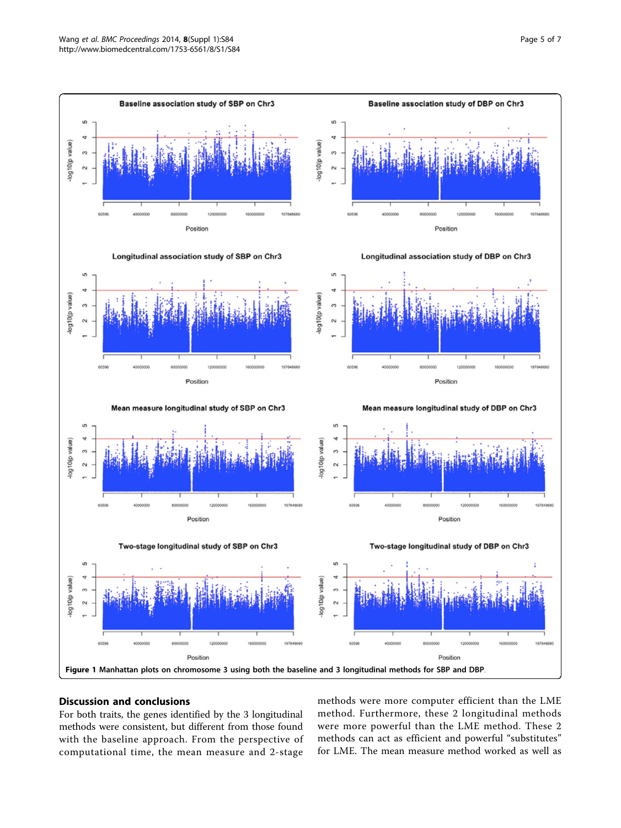<span id="page-4-0"></span>

## Discussion and conclusions

For both traits, the genes identified by the 3 longitudinal methods were consistent, but different from those found with the baseline approach. From the perspective of computational time, the mean measure and 2-stage

methods were more computer efficient than the LME method. Furthermore, these 2 longitudinal methods were more powerful than the LME method. These 2 methods can act as efficient and powerful "substitutes" for LME. The mean measure method worked as well as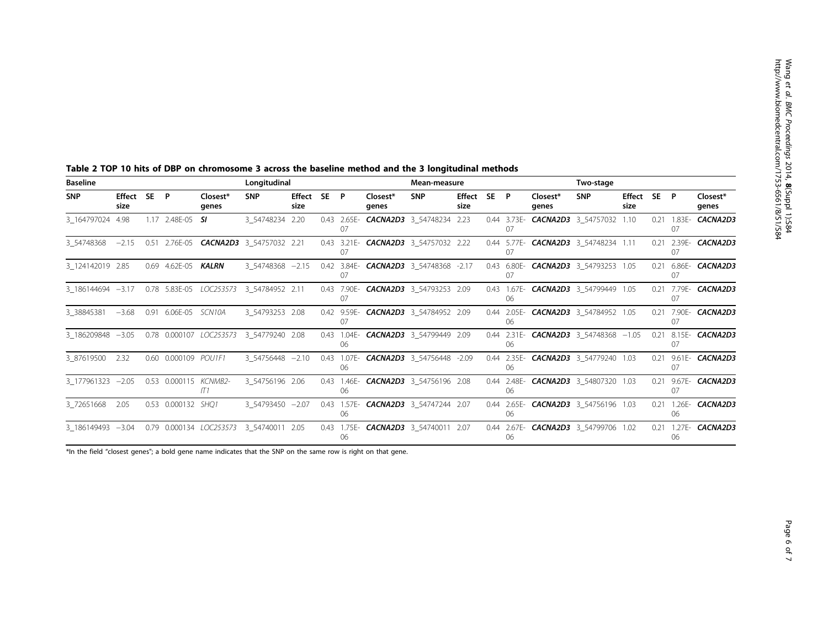| <b>Baseline</b>      |                       |      |                         |                              | Longitudinal                                    |                     |    |                   | Mean-measure                          |                |      |                   |                   | Two-stage                                      |                       |      |    |                             |
|----------------------|-----------------------|------|-------------------------|------------------------------|-------------------------------------------------|---------------------|----|-------------------|---------------------------------------|----------------|------|-------------------|-------------------|------------------------------------------------|-----------------------|------|----|-----------------------------|
| <b>SNP</b>           | <b>Effect</b><br>size | SE P |                         | Closest*<br>genes            | <b>SNP</b>                                      | Effect SE P<br>size |    | Closest*<br>genes | <b>SNP</b>                            | Effect<br>size | SE P |                   | Closest*<br>genes | <b>SNP</b>                                     | <b>Effect</b><br>size | SE P |    | Closest*<br>genes           |
| 3 164797024 4.98     |                       |      | 1.17 2.48E-05 <b>SI</b> |                              | 3 54748234 2.20                                 |                     | 07 |                   | 0.43 2.65E- CACNA2D3 3 54748234 2.23  |                |      | 07                |                   | 0.44 3.73E- CACNA2D3 3 54757032 1.10           |                       |      | 07 | 0.21 1.83E- <b>CACNA2D3</b> |
| $3\,54748368 - 2.15$ |                       |      |                         |                              | 0.51  2.76E-05 <b>CACNA2D3</b> 3_54757032  2.21 |                     | 07 |                   | 0.43 3.21E- CACNA2D3 3 54757032 2.22  |                |      | 07                |                   | 0.44 5.77E- CACNA2D3 3 54748234 1.11           |                       | 0.21 | 07 | 2.39E- <b>CACNA2D3</b>      |
| 3 124142019 2.85     |                       |      | 0.69 4.62E-05 KALRN     |                              | 3_54748368 -2.15                                |                     |    |                   | 0.42 3.84E- CACNA2D3 3_54748368 -2.17 |                |      | 07                |                   | 0.43 6.80E- CACNA2D3 3_54793253 1.05           |                       | 0.21 | 07 | 6.86E- <b>CACNA2D3</b>      |
| 3 186144694 -3.17    |                       |      |                         |                              | 0.78  5.83E-05  LOC253573  3_54784952  2.11     |                     |    |                   | 0.43 7.90E- CACNA2D3 3_54793253 2.09  |                |      | 06                |                   | 0.43 1.67E- CACNA2D3 3_54799449 1.05           |                       | 0.21 | 07 | 7.79E- <b>CACNA2D3</b>      |
| 3 38845381           | $-3.68$               |      | 0.91 6.06E-05 SCN10A    |                              | 3 54793253 2.08                                 |                     | 07 |                   | 0.42 9.59E- CACNA2D3 3 54784952 2.09  |                |      | 06                |                   | 0.44 2.05E- CACNA2D3 3 54784952 1.05           |                       | 0.21 | 07 | 7.90E- <b>CACNA2D3</b>      |
| 3 186209848 -3.05    |                       |      |                         | 0.78  0.000107  LOC253573    | 3 54779240 2.08                                 |                     | 06 |                   | 0.43 1.04E- CACNA2D3 3 54799449 2.09  |                |      | 06                |                   | 0.44 2.31E- <b>CACNA2D3</b> 3_54748368 $-1.05$ |                       | 0.21 | 07 | 8.15E- <b>CACNA2D3</b>      |
| 3_87619500           | 2.32                  |      | 0.60 0.000109 POU1F1    |                              | 3_54756448 -2.10                                |                     | 06 |                   | 0.43 1.07E- CACNA2D3 3_54756448 -2.09 |                |      | 06                |                   | 0.44 2.35E- CACNA2D3 3_54779240 1.03           |                       |      | 07 | 0.21 9.61E- <b>CACNA2D3</b> |
| 3 177961323 -2.05    |                       |      |                         | 0.53 0.000115 KCNMB2-<br>IT1 | 3 54756196 2.06                                 |                     | 06 |                   | 0.43 1.46E- CACNA2D3 3 54756196 2.08  |                |      | 0.44 2.48E-<br>06 |                   | <b>CACNA2D3</b> 3 54807320 1.03                |                       | 0.21 | 07 | 9.67E- <b>CACNA2D3</b>      |
| 3 72651668           | 2.05                  |      | 0.53 0.000132 SHQ1      |                              | 3 54793450 -2.07                                |                     | 06 |                   | 0.43 1.57E- CACNA2D3 3 54747244 2.07  |                |      | 06                |                   | 0.44 2.65E- CACNA2D3 3 54756196 1.03           |                       | 0.21 | 06 | 1.26E- <b>CACNA2D3</b>      |
| 3 186149493 -3.04    |                       |      |                         |                              | 0.79  0.000134  LOC253573  3  54740011  2.05    |                     | 06 |                   | 0.43 1.75E- CACNA2D3 3 54740011 2.07  |                |      | 06                |                   | 0.44 2.67E- CACNA2D3 3 54799706 1.02           |                       | 0.21 | 06 | 1.27E- <b>CACNA2D3</b>      |

<span id="page-5-0"></span>Table 2 TOP 10 hits of DBP on chromosome 3 across the baseline method and the 3 longitudinal methods

\*In the field "closest genes"; a bold gene name indicates that the SNP on the same row is right on that gene.